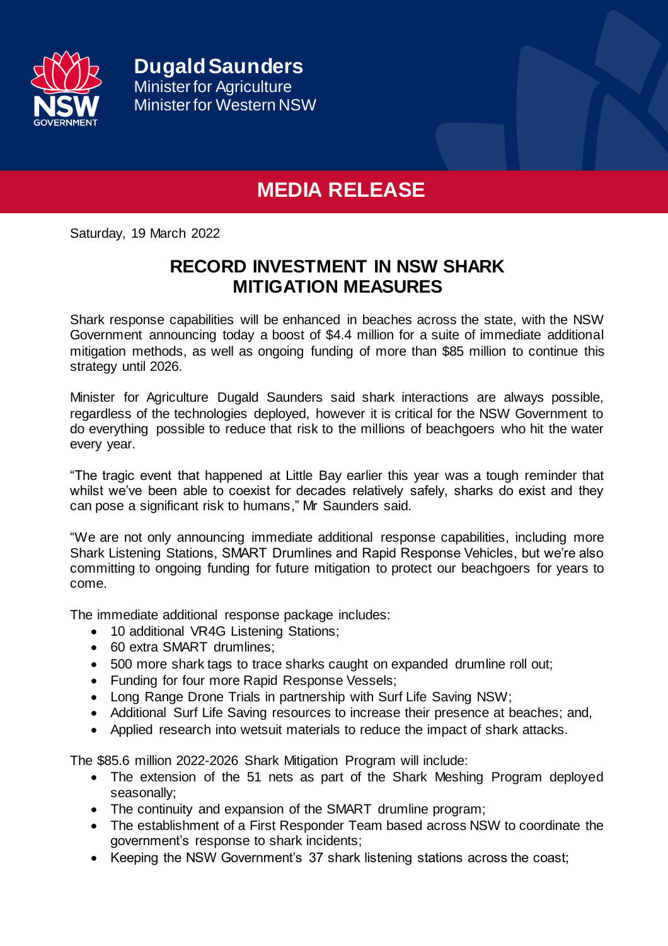

## **MEDIA RELEASE**

Saturday, 19 March 2022

## **RECORD INVESTMENT IN NSW SHARK MITIGATION MEASURES**

Shark response capabilities will be enhanced in beaches across the state, with the NSW Government announcing today a boost of \$4.4 million for a suite of immediate additional mitigation methods, as well as ongoing funding of more than \$85 million to continue this strategy until 2026.

Minister for Agriculture Dugald Saunders said shark interactions are always possible, regardless of the technologies deployed, however it is critical for the NSW Government to do everything possible to reduce that risk to the millions of beachgoers who hit the water every year.

"The tragic event that happened at Little Bay earlier this year was a tough reminder that whilst we've been able to coexist for decades relatively safely, sharks do exist and they can pose a significant risk to humans," Mr Saunders said.

"We are not only announcing immediate additional response capabilities, including more Shark Listening Stations, SMART Drumlines and Rapid Response Vehicles, but we're also committing to ongoing funding for future mitigation to protect our beachgoers for years to come.

The immediate additional response package includes:

- 10 additional VR4G Listening Stations;
- 60 extra SMART drumlines;
- 500 more shark tags to trace sharks caught on expanded drumline roll out;
- Funding for four more Rapid Response Vessels;
- Long Range Drone Trials in partnership with Surf Life Saving NSW;
- Additional Surf Life Saving resources to increase their presence at beaches; and,
- Applied research into wetsuit materials to reduce the impact of shark attacks.

The \$85.6 million 2022-2026 Shark Mitigation Program will include:

- The extension of the 51 nets as part of the Shark Meshing Program deployed seasonally;
- The continuity and expansion of the SMART drumline program;
- The establishment of a First Responder Team based across NSW to coordinate the government's response to shark incidents;
- Keeping the NSW Government's 37 shark listening stations across the coast;